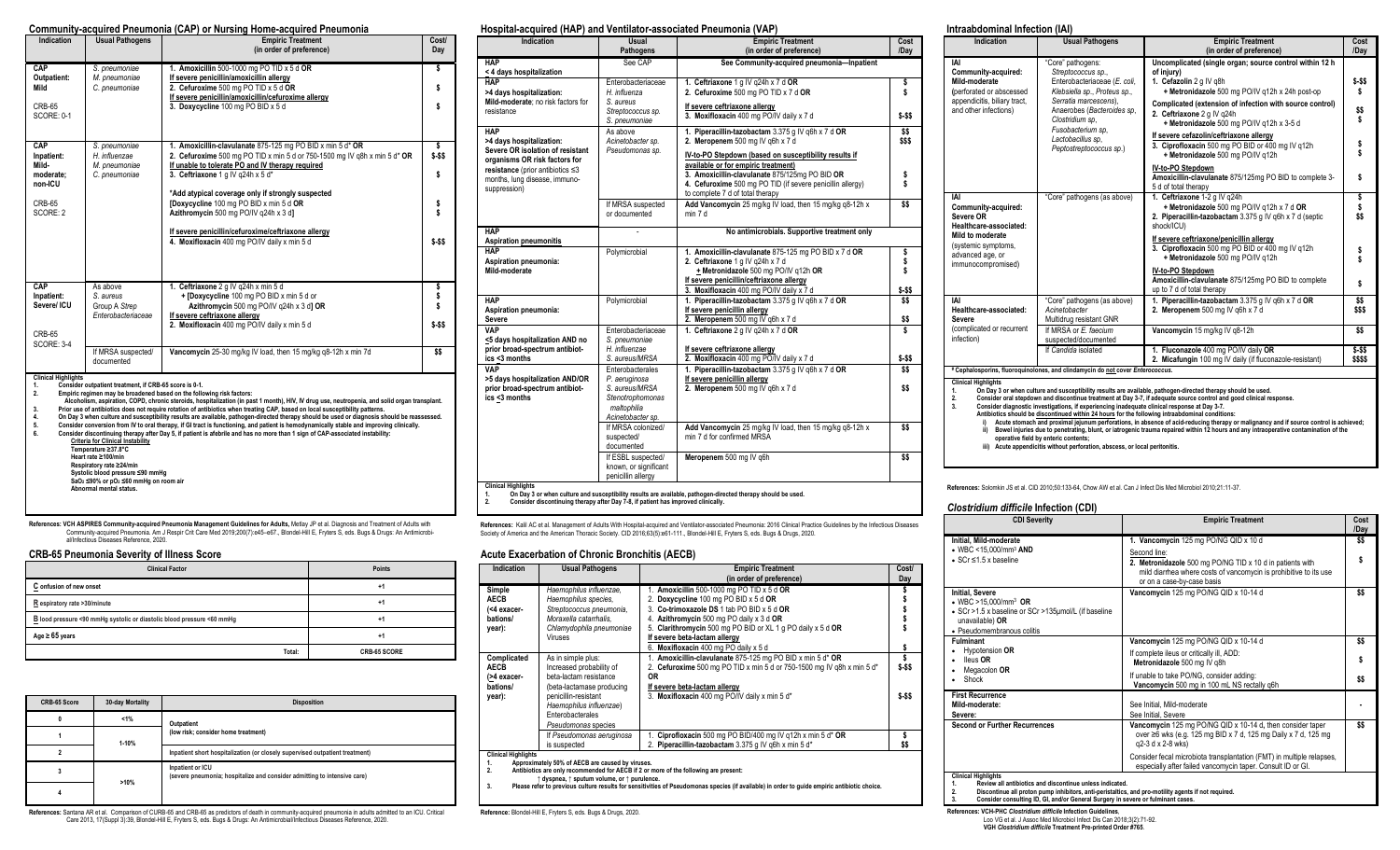#### **Community-acquired Pneumonia (CAP) or Nursing Home-acquired Pneumonia**

| <b>Indication</b>                                                        | <b>Usual Pathogens</b>                                                                                                                                                                                                                                                                            | <b>Empiric Treatment</b><br>(in order of preference)                                                                                                                                                                                                                                                                                                                                                                                                                                                                                                                                                                                                                                                                                                                               | <b>Cost/</b><br>Day                 |  |
|--------------------------------------------------------------------------|---------------------------------------------------------------------------------------------------------------------------------------------------------------------------------------------------------------------------------------------------------------------------------------------------|------------------------------------------------------------------------------------------------------------------------------------------------------------------------------------------------------------------------------------------------------------------------------------------------------------------------------------------------------------------------------------------------------------------------------------------------------------------------------------------------------------------------------------------------------------------------------------------------------------------------------------------------------------------------------------------------------------------------------------------------------------------------------------|-------------------------------------|--|
| CAP<br>Outpatient:<br>Mild<br>CRB-65<br><b>SCORE: 0-1</b>                | S. pneumoniae<br>M. pneumoniae<br>C. pneumoniae                                                                                                                                                                                                                                                   | 1. Amoxicillin 500-1000 mg PO TID x 5 d OR<br>If severe penicillin/amoxicillin allergy<br>2. Cefuroxime 500 mg PO TID x 5 d OR<br>If severe penicillin/amoxicillin/cefuroxime allergy<br>3. Doxycycline 100 mg PO BID x 5 d                                                                                                                                                                                                                                                                                                                                                                                                                                                                                                                                                        | \$<br>S                             |  |
| CAP<br>Inpatient:<br>Mild-<br>moderate:<br>non-ICU<br>CRB-65<br>SCORE: 2 | S. pneumoniae<br>H. influenzae<br>M. pneumoniae<br>C. pneumoniae                                                                                                                                                                                                                                  | 1. Amoxicillin-clavulanate 875-125 mg PO BID x min 5 d* OR<br>2. Cefuroxime 500 mg PO TID x min 5 d or 750-1500 mg IV g8h x min 5 d* OR<br>If unable to tolerate PO and IV therapy required<br>3. Ceftriaxone 1 g IV q24h x 5 d*<br>*Add atypical coverage only if strongly suspected<br>[Doxycycline 100 mg PO BID x min 5 d OR<br>Azithromycin 500 mg PO/IV g24h x 3 d]<br>If severe penicillin/cefuroxime/ceftriaxone allergy<br>4. Moxifloxacin 400 mg PO/IV daily x min 5 d                                                                                                                                                                                                                                                                                                   | \$<br>$$-$ \$\$<br>$$ - $$          |  |
| CAP<br>Inpatient:<br>Severe/ ICU<br>CRB-65<br><b>SCORE: 3-4</b>          | As above<br>S. aureus<br>Group A Strep<br>Enterobacteriaceae                                                                                                                                                                                                                                      | 1. Ceftriaxone 2 q IV q24h x min 5 d<br>+ [Doxycycline 100 mg PO BID x min 5 d or<br>Azithromycin 500 mg PO/IV g24h x 3 d] OR<br>If severe ceftriaxone allergy<br>2. Moxifloxacin 400 mg PO/IV daily x min 5 d                                                                                                                                                                                                                                                                                                                                                                                                                                                                                                                                                                     | \$<br>\$<br>\$<br>$$-$ \$\$<br>\$\$ |  |
|                                                                          | Vancomycin 25-30 mg/kg IV load, then 15 mg/kg q8-12h x min 7d<br>If MRSA suspected/<br>documented                                                                                                                                                                                                 |                                                                                                                                                                                                                                                                                                                                                                                                                                                                                                                                                                                                                                                                                                                                                                                    |                                     |  |
| <b>Clinical Highlights</b><br>1.<br>2.<br>3.<br>4.<br>5.<br>6.           | Consider outpatient treatment, if CRB-65 score is 0-1.<br><b>Criteria for Clinical Instability</b><br>Temperature ≥37.8°C<br>Heart rate ≥100/min<br>Respiratory rate ≥24/min<br>Systolic blood pressure ≤90 mmHg<br>$SaO2 \leq 90\%$ or $pO2 \leq 60$ mmHg on room air<br>Abnormal mental status. | Empiric regimen may be broadened based on the following risk factors:<br>Alcoholism, aspiration, COPD, chronic steroids, hospitalization (in past 1 month), HIV, IV drug use, neutropenia, and solid organ transplant.<br>Prior use of antibiotics does not require rotation of antibiotics when treating CAP, based on local susceptibility patterns.<br>On Day 3 when culture and susceptibility results are available, pathogen-directed therapy should be used or diagnosis should be reassessed.<br>Consider conversion from IV to oral therapy, if GI tract is functioning, and patient is hemodynamically stable and improving clinically.<br>Consider discontinuing therapy after Day 5, if patient is afebrile and has no more than 1 sign of CAP-associated instability: |                                     |  |

References: **VCH ASPIRES Community-acquired Pneumonia Management Guidelines for Adults,** Metlay JP et al. Diagnosis and Treatment of Adults with<br>Community-acquired Pneumonia. Am J Respir Crit Care Med 2019;200(7):e45–e67., al/Infectious Diseases Reference, 2020.

# **CRB-65 Pneumonia Severity of Illness Score**

| <b>Clinical Factor</b>                                                 | Points       |
|------------------------------------------------------------------------|--------------|
| C onfusion of new onset                                                | +1           |
| R espiratory rate >30/minute                                           | $+1$         |
| B lood pressure <90 mmHg systolic or diastolic blood pressure <60 mmHg | +1           |
| Age $\geq 65$ years                                                    | +1           |
| Total:                                                                 | CRB-65 SCORE |

| CRB-65 Score | 30-day Mortality | <b>Disposition</b>                                                                           |
|--------------|------------------|----------------------------------------------------------------------------------------------|
| 0            | $1\%$            | Outpatient                                                                                   |
|              | 1-10%            | (low risk; consider home treatment)                                                          |
|              |                  | Inpatient short hospitalization (or closely supervised outpatient treatment)                 |
|              | >10%             | Inpatient or ICU<br>(severe pneumonia; hospitalize and consider admitting to intensive care) |
|              |                  |                                                                                              |

**References:** Santana AR et al. Comparison of CURB-65 and CRB-65 as predictors of death in community-acquired pneumonia in adults admitted to an ICU. Critical .<br>Care 2013, 17(Suppl 3):39, Blondel-Hill E, Fryters S, eds. B

#### **Hospital-acquired (HAP) and Ventilator-associated Pneumonia (VAP)**

| <b>Indication</b>                                                                                                                                                                                | <b>Usual</b><br>Pathogens                                                                                   | <b>Empiric Treatment</b><br>(in order of preference)                                                                                                                                                                                                                                                   | Cost<br>/Dav              |
|--------------------------------------------------------------------------------------------------------------------------------------------------------------------------------------------------|-------------------------------------------------------------------------------------------------------------|--------------------------------------------------------------------------------------------------------------------------------------------------------------------------------------------------------------------------------------------------------------------------------------------------------|---------------------------|
| <b>HAP</b><br>< 4 days hospitalization                                                                                                                                                           | See CAP                                                                                                     | See Community-acquired pneumonia-Inpatient                                                                                                                                                                                                                                                             |                           |
| <b>HAP</b><br>>4 days hospitalization:<br>Mild-moderate: no risk factors for<br>resistance                                                                                                       | Enterobacteriaceae<br>H. influenza<br>S. aureus<br>Streptococcus sp.<br>S. pneumoniae                       | 1. Ceftriaxone 1 g IV g24h x 7 d OR<br>2. Cefuroxime 500 mg PO TID x 7 d OR<br>If severe ceftriaxone allergy<br>3. Moxifloxacin 400 mg PO/IV daily x 7 d                                                                                                                                               | \$<br>\$<br>$$-$ SS       |
| <b>HAP</b><br>>4 days hospitalization:<br>Severe OR isolation of resistant<br>organisms OR risk factors for<br>resistance (prior antibiotics ≤3<br>months, lung disease, immuno-<br>suppression) | As above<br>Acinetobacter sp.<br>Pseudomonas sp.                                                            | 1. Piperacillin-tazobactam 3.375 g IV q6h x 7 d OR<br>2. Meropenem 500 mg IV g6h x 7 d<br>IV-to-PO Stepdown (based on susceptibility results if<br>available or for empiric treatment)<br>3. Amoxicillin-clavulanate 875/125mg PO BID OR<br>4. Cefuroxime 500 mg PO TID (if severe penicillin allergy) | SS.<br>SSS.<br>\$<br>\$   |
|                                                                                                                                                                                                  | If MRSA suspected<br>or documented                                                                          | to complete 7 d of total therapy<br>Add Vancomycin 25 mg/kg IV load, then 15 mg/kg q8-12h x<br>min 7 d                                                                                                                                                                                                 | \$\$                      |
| <b>HAP</b><br><b>Aspiration pneumonitis</b>                                                                                                                                                      |                                                                                                             | No antimicrobials. Supportive treatment only                                                                                                                                                                                                                                                           |                           |
| <b>HAP</b><br>Aspiration pneumonia:<br>Mild-moderate                                                                                                                                             | Polymicrobial                                                                                               | 1. Amoxicillin-clavulanate 875-125 mg PO BID x 7 d OR<br>2. Ceftriaxone 1 a IV a24h x 7 d<br>+ Metronidazole 500 mg PO/IV g12h OR<br>If severe penicillin/ceftriaxone allergy<br>3. Moxifloxacin 400 mg PO/IV daily x 7 d                                                                              | \$<br>\$<br>\$<br>$$ - $$ |
| <b>HAP</b><br>Aspiration pneumonia:<br>Severe                                                                                                                                                    | Polymicrobial                                                                                               | 1. Piperacillin-tazobactam 3.375 g IV g6h x 7 d OR<br>If severe penicillin allergy<br>2. Meropenem 500 mg IV q6h x 7 d                                                                                                                                                                                 | \$\$<br>\$\$              |
| <b>VAP</b><br><5 days hospitalization AND no<br>prior broad-spectrum antibiot-                                                                                                                   | Enterobacteriaceae<br>S. pneumoniae<br>H. influenzae                                                        | 1. Ceftriaxone 2 g IV g24h x 7 d OR                                                                                                                                                                                                                                                                    | \$                        |
| ics <3 months                                                                                                                                                                                    | S. aureus/MRSA                                                                                              | If severe ceftriaxone allergy<br>2. Moxifloxacin 400 mg PO/IV daily x 7 d                                                                                                                                                                                                                              | $$ - $$                   |
| <b>VAP</b><br>>5 days hospitalization AND/OR<br>prior broad-spectrum antibiot-<br>ics <3 months                                                                                                  | Enterobacterales<br>P. aeruginosa<br>S. aureus/MRSA<br>Stenotrophomonas<br>maltophilia<br>Acinetobacter sp. | 1. Piperacillin-tazobactam 3.375 g IV q6h x 7 d OR<br>If severe penicillin allergy<br>2. Meropenem 500 mg IV g6h x 7 d                                                                                                                                                                                 | SS.<br>\$\$               |
|                                                                                                                                                                                                  | If MRSA colonized/<br>suspected/<br>documented                                                              | Add Vancomycin 25 mg/kg IV load, then 15 mg/kg q8-12h x<br>min 7 d for confirmed MRSA                                                                                                                                                                                                                  | \$\$                      |
|                                                                                                                                                                                                  | If ESBL suspected/<br>known, or significant<br>penicillin allergy                                           | Meropenem 500 mg IV g6h                                                                                                                                                                                                                                                                                | \$\$                      |

**References:** Kalil AC et al. Management of Adults With Hospital-acquired and Ventilator-associated Pneumonia: 2016 Clinical Practice Guidelines by the Infectious Diseases<br>Society of America and the American Thoracic Socie

#### **Acute Exacerbation of Chronic Bronchitis (AECB)**

| Indication                                                                                                                                                                                                                                                                                                                                                                               | <b>Usual Pathogens</b>                                                                                                                       | <b>Empiric Treatment</b><br>(in order of preference)                                                                                                                                                                                                                                                                  | <b>Cost/</b><br>Day     |
|------------------------------------------------------------------------------------------------------------------------------------------------------------------------------------------------------------------------------------------------------------------------------------------------------------------------------------------------------------------------------------------|----------------------------------------------------------------------------------------------------------------------------------------------|-----------------------------------------------------------------------------------------------------------------------------------------------------------------------------------------------------------------------------------------------------------------------------------------------------------------------|-------------------------|
| Simple<br><b>AECB</b><br>(<4 exacer-<br>bations/<br>year):                                                                                                                                                                                                                                                                                                                               | Haemophilus influenzae,<br>Haemophilus species,<br>Streptococcus pneumonia,<br>Moraxella catarrhalis.<br>Chlamydophila pneumoniae<br>Viruses | 1. Amoxicillin 500-1000 mg PO TID $x$ 5 d OR<br>2. Doxycycline 100 mg PO BID x 5 d OR<br>3. Co-trimoxazole DS 1 tab PO BID x 5 d OR<br>Azithromycin 500 mg PO daily x 3 d OR<br>5. Clarithromycin 500 mg PO BID or XL 1 g PO daily x 5 d OR<br>If severe beta-lactam allergy<br>6. Moxifloxacin 400 mg PO daily x 5 d | \$                      |
| Complicated<br><b>AECB</b><br>(>4 exacer-<br>bations/                                                                                                                                                                                                                                                                                                                                    | As in simple plus:<br>Increased probability of<br>beta-lactam resistance<br>(beta-lactamase producing<br>penicillin-resistant                | Amoxicillin-clavulanate 875-125 mg PO BID x min 5 d* OR<br>2. Cefuroxime 500 mg PO TID x min 5 d or 750-1500 mg IV g8h x min 5 d*<br>0R<br>If severe beta-lactam allergy<br>3. Moxifloxacin 400 mg PO/IV daily x min 5 d*                                                                                             | \$<br>\$-\$\$<br>$$-55$ |
| year):                                                                                                                                                                                                                                                                                                                                                                                   | Haemophilus influenzae)<br>Enterobacterales<br>Pseudomonas species                                                                           |                                                                                                                                                                                                                                                                                                                       |                         |
|                                                                                                                                                                                                                                                                                                                                                                                          | If Pseudomonas aeruginosa<br>is suspected                                                                                                    | Ciprofloxacin 500 mg PO BID/400 mg IV g12h x min 5 d* OR<br>2. Piperacillin-tazobactam 3.375 g IV q6h x min 5 d*                                                                                                                                                                                                      | \$<br>\$\$              |
| <b>Clinical Highlights</b><br>Approximately 50% of AECB are caused by viruses.<br>1.<br>Antibiotics are only recommended for AECB if 2 or more of the following are present:<br>2.<br>t dyspnea, t sputum volume, or t purulence.<br>Please refer to previous culture results for sensitivities of Pseudomonas species (if available) in order to guide empiric antibiotic choice.<br>3. |                                                                                                                                              |                                                                                                                                                                                                                                                                                                                       |                         |

**Reference:** Blondel-Hill E, Fryters S, eds. Bugs & Drugs, 2020.

#### **Intraabdominal Infection (IAI)**

| Indication                                                                                              | <b>Usual Pathogens</b>                                                                                                           | <b>Empiric Treatment</b>                                                                                                                            | Cost                |
|---------------------------------------------------------------------------------------------------------|----------------------------------------------------------------------------------------------------------------------------------|-----------------------------------------------------------------------------------------------------------------------------------------------------|---------------------|
|                                                                                                         |                                                                                                                                  | (in order of preference)                                                                                                                            | /Day                |
| IAI<br>Community-acquired:<br>Mild-moderate<br>(perforated or abscessed<br>appendicitis, biliary tract, | "Core" pathogens:<br>Streptococcus sp.,<br>Enterobacteriaceae (E. coli,<br>Klebsiella sp., Proteus sp.,<br>Serratia marcescens), | Uncomplicated (single organ; source control within 12 h<br>of injury)<br>1. Cefazolin 2 g IV g8h<br>+ Metronidazole 500 mg PO/IV g12h x 24h post-op | $$ - $$<br>s        |
| and other infections)                                                                                   | Anaerobes (Bacteroides sp.<br>Clostridium sp.<br>Fusobacterium sp.                                                               | Complicated (extension of infection with source control)<br>2. Ceftriaxone 2 g IV g24h<br>+ Metronidazole 500 mg PO/IV g12h x 3-5 d                 | \$\$<br>Ś           |
|                                                                                                         | Lactobacillus sp.<br>Peptostreptococcus sp.)                                                                                     | If severe cefazolin/ceftriaxone allergy<br>3. Ciprofloxacin 500 mg PO BID or 400 mg IV q12h<br>+ Metronidazole 500 mg PO/IV g12h                    | \$<br>Ś             |
|                                                                                                         |                                                                                                                                  | IV-to-PO Stepdown<br>Amoxicillin-clavulanate 875/125mg PO BID to complete 3-<br>5 d of total therapy                                                | s                   |
| IAI<br>Community-acquired:                                                                              | "Core" pathogens (as above)                                                                                                      | 1. Ceftriaxone 1-2 g IV q24h<br>+ Metronidazole 500 mg PO/IV q12h x 7 d OR                                                                          | \$                  |
| Severe OR<br>Healthcare-associated:                                                                     |                                                                                                                                  | 2. Piperacillin-tazobactam 3.375 g IV g6h x 7 d (septic<br>shock/ICU)                                                                               | \$\$                |
| Mild to moderate<br>(systemic symptoms,<br>advanced age, or<br>immunocompromised)                       |                                                                                                                                  | If severe ceftriaxone/penicillin allergy<br>3. Ciprofloxacin 500 mg PO BID or 400 mg IV g12h<br>+ Metronidazole 500 mg PO/IV g12h                   | \$<br>Ś             |
|                                                                                                         |                                                                                                                                  | IV-to-PO Stepdown<br>Amoxicillin-clavulanate 875/125mq PO BID to complete<br>up to 7 d of total therapy                                             | \$                  |
| IAI<br>Healthcare-associated:<br>Severe                                                                 | "Core" pathogens (as above)<br>Acinetobacter<br>Multidrug resistant GNR                                                          | 1. Piperacillin-tazobactam 3.375 g IV q6h x 7 d OR<br>2. Meropenem 500 mg IV g6h x 7 d                                                              | \$\$<br>\$\$\$      |
| (complicated or recurrent<br>infection)                                                                 | If MRSA or E. faecium<br>suspected/documented                                                                                    | Vancomycin 15 mg/kg IV q8-12h                                                                                                                       | \$\$                |
|                                                                                                         | If Candida isolated                                                                                                              | 1. Fluconazole 400 mg PO/IV daily OR<br>2. Micafungin 100 mg IV daily (if fluconazole-resistant)                                                    | $$ - $$<br>\$\$\$\$ |
| # Cephalosporins, fluoroquinolones, and clindamycin do not cover Enterococcus.                          |                                                                                                                                  |                                                                                                                                                     |                     |
| <b>Clinical Highlights</b>                                                                              |                                                                                                                                  |                                                                                                                                                     |                     |

**Clinical Highlights 1. On Day 3 or when culture and susceptibility results are available, pathogen-directed therapy should be used. 2. Consider oral stepdown and discontinue treatment at Day 3-7, if adequate source control and good clinical response.** 

3. Consider diagnostic investigations, if experiencing inadequate clinical response at Day 3-7.<br>Antibiotics should be <u>discontinued within 24 hours</u> for the following intraabdominal conditions:<br>
i) Acute stomach and proxim

**iii) Acute appendicitis without perforation, abscess, or local peritonitis.** 

**References:** Solomkin JS et al. CID 2010;50:133-64, Chow AW et al. Can J Infect Dis Med Microbiol 2010;21:11-37.

#### *Clostridium difficile* **Infection (CDI)**

| <b>CDI Severity</b>                                                                                                                                                                                                                                                                                           | <b>Empiric Treatment</b>                                                                                                                                                                                              | Cost<br>/Dav |
|---------------------------------------------------------------------------------------------------------------------------------------------------------------------------------------------------------------------------------------------------------------------------------------------------------------|-----------------------------------------------------------------------------------------------------------------------------------------------------------------------------------------------------------------------|--------------|
| Initial. Mild-moderate<br>$\bullet$ WBC <15.000/mm <sup>3</sup> AND<br>$\bullet$ SCr $\leq$ 1.5 x baseline                                                                                                                                                                                                    | 1. Vancomycin 125 mg PO/NG QID x 10 d<br>Second line:<br>2. Metronidazole 500 mg PO/NG TID x 10 d in patients with<br>mild diarrhea where costs of vancomycin is prohibitive to its use<br>or on a case-by-case basis | \$\$<br>Ŝ    |
| <b>Initial, Severe</b><br>• WBC >15.000/mm <sup>3</sup> OR<br>• SCr >1.5 x baseline or SCr >135µmol/L (if baseline<br>unavailable) OR<br>• Pseudomembranous colitis                                                                                                                                           | Vancomycin 125 mg PO/NG QID x 10-14 d                                                                                                                                                                                 | \$\$         |
| <b>Fulminant</b>                                                                                                                                                                                                                                                                                              | Vancomycin 125 mg PO/NG QID x 10-14 d                                                                                                                                                                                 | \$\$         |
| Hypotension OR<br>lleus OR<br>Megacolon OR                                                                                                                                                                                                                                                                    | If complete ileus or critically ill, ADD:<br>Metronidazole 500 mg IV q8h                                                                                                                                              | S            |
| Shock                                                                                                                                                                                                                                                                                                         | If unable to take PO/NG, consider adding:<br>Vancomycin 500 mg in 100 mL NS rectally g6h                                                                                                                              | \$\$         |
| <b>First Recurrence</b><br>Mild-moderate:<br>Severe:                                                                                                                                                                                                                                                          | See Initial, Mild-moderate<br>See Initial, Severe                                                                                                                                                                     |              |
| <b>Second or Further Recurrences</b>                                                                                                                                                                                                                                                                          | Vancomycin 125 mg PO/NG QID x 10-14 d, then consider taper<br>over ≥6 wks (e.g. 125 mg BID x 7 d, 125 mg Daily x 7 d, 125 mg<br>q2-3 d x 2-8 wks)                                                                     | \$\$         |
|                                                                                                                                                                                                                                                                                                               | Consider fecal microbiota transplantation (FMT) in multiple relapses,<br>especially after failed vancomycin taper. Consult ID or GI.                                                                                  |              |
| <b>Clinical Highlights</b><br>Review all antibiotics and discontinue unless indicated.<br>$\mathbf{1}$<br>Discontinue all proton pump inhibitors, anti-peristaltics, and pro-motility agents if not required.<br>2.<br>3.<br>Consider consulting ID, GI, and/or General Surgery in severe or fulminant cases. |                                                                                                                                                                                                                       |              |

**References: VCH-PHC** *Clostridium difficile* **Infection Guidelines**,

Loo VG et al. J Assoc Med Microbiol Infect Dis Can 2018;3(2):71-92. **VGH** *Clostridium difficile* **Treatment Pre-printed Order #765**.